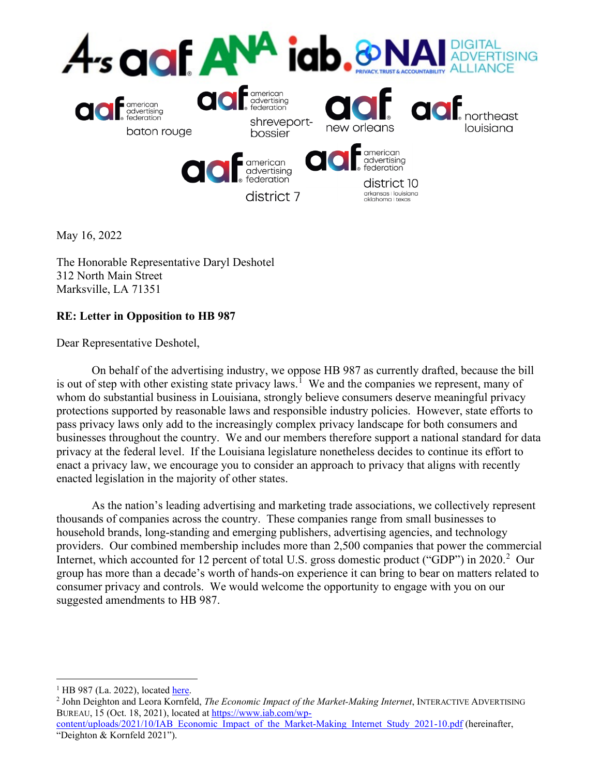

May 16, 2022

The Honorable Representative Daryl Deshotel 312 North Main Street Marksville, LA 71351

# **RE: Letter in Opposition to HB 987**

Dear Representative Deshotel,

On behalf of the advertising industry, we oppose HB 987 as currently drafted, because the bill is out of step with other existing state privacy laws.<sup>[1](#page-0-0)</sup> We and the companies we represent, many of whom do substantial business in Louisiana, strongly believe consumers deserve meaningful privacy protections supported by reasonable laws and responsible industry policies. However, state efforts to pass privacy laws only add to the increasingly complex privacy landscape for both consumers and businesses throughout the country. We and our members therefore support a national standard for data privacy at the federal level. If the Louisiana legislature nonetheless decides to continue its effort to enact a privacy law, we encourage you to consider an approach to privacy that aligns with recently enacted legislation in the majority of other states.

As the nation's leading advertising and marketing trade associations, we collectively represent thousands of companies across the country. These companies range from small businesses to household brands, long-standing and emerging publishers, advertising agencies, and technology providers. Our combined membership includes more than 2,500 companies that power the commercial Internet, which accounted for 1[2](#page-0-1) percent of total U.S. gross domestic product ("GDP") in 2020.<sup>2</sup> Our group has more than a decade's worth of hands-on experience it can bring to bear on matters related to consumer privacy and controls. We would welcome the opportunity to engage with you on our suggested amendments to HB 987.

<span id="page-0-0"></span> $<sup>1</sup>$  HB 987 (La. 2022), located [here.](https://legis.la.gov/legis/ViewDocument.aspx?d=1277196)</sup>

<span id="page-0-1"></span><sup>2</sup> John Deighton and Leora Kornfeld, *The Economic Impact of the Market-Making Internet*, INTERACTIVE ADVERTISING BUREAU, 15 (Oct. 18, 2021), located at [https://www.iab.com/wp-](https://www.iab.com/wp-content/uploads/2021/10/IAB_Economic_Impact_of_the_Market-Making_Internet_Study_2021-10.pdf)

[content/uploads/2021/10/IAB\\_Economic\\_Impact\\_of\\_the\\_Market-Making\\_Internet\\_Study\\_2021-10.pdf](https://www.iab.com/wp-content/uploads/2021/10/IAB_Economic_Impact_of_the_Market-Making_Internet_Study_2021-10.pdf) (hereinafter, "Deighton & Kornfeld 2021").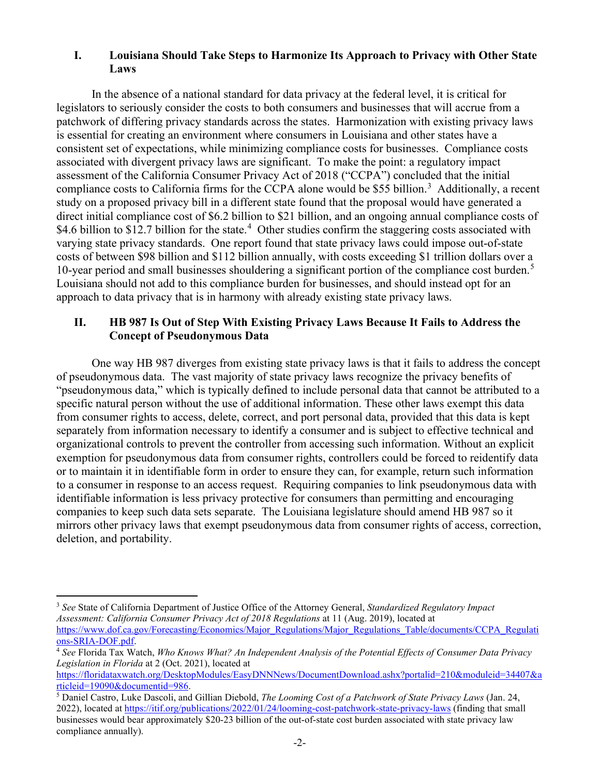#### **I. Louisiana Should Take Steps to Harmonize Its Approach to Privacy with Other State Laws**

In the absence of a national standard for data privacy at the federal level, it is critical for legislators to seriously consider the costs to both consumers and businesses that will accrue from a patchwork of differing privacy standards across the states. Harmonization with existing privacy laws is essential for creating an environment where consumers in Louisiana and other states have a consistent set of expectations, while minimizing compliance costs for businesses. Compliance costs associated with divergent privacy laws are significant. To make the point: a regulatory impact assessment of the California Consumer Privacy Act of 2018 ("CCPA") concluded that the initial compliance costs to California firms for the CCPA alone would be \$55 billion.<sup>[3](#page-1-0)</sup> Additionally, a recent study on a proposed privacy bill in a different state found that the proposal would have generated a direct initial compliance cost of \$6.2 billion to \$21 billion, and an ongoing annual compliance costs of \$[4](#page-1-1).6 billion to \$12.7 billion for the state.<sup>4</sup> Other studies confirm the staggering costs associated with varying state privacy standards. One report found that state privacy laws could impose out-of-state costs of between \$98 billion and \$112 billion annually, with costs exceeding \$1 trillion dollars over a 10-year period and small businesses shouldering a significant portion of the compliance cost burden.<sup>[5](#page-1-2)</sup> Louisiana should not add to this compliance burden for businesses, and should instead opt for an approach to data privacy that is in harmony with already existing state privacy laws.

#### **II. HB 987 Is Out of Step With Existing Privacy Laws Because It Fails to Address the Concept of Pseudonymous Data**

One way HB 987 diverges from existing state privacy laws is that it fails to address the concept of pseudonymous data. The vast majority of state privacy laws recognize the privacy benefits of "pseudonymous data," which is typically defined to include personal data that cannot be attributed to a specific natural person without the use of additional information. These other laws exempt this data from consumer rights to access, delete, correct, and port personal data, provided that this data is kept separately from information necessary to identify a consumer and is subject to effective technical and organizational controls to prevent the controller from accessing such information. Without an explicit exemption for pseudonymous data from consumer rights, controllers could be forced to reidentify data or to maintain it in identifiable form in order to ensure they can, for example, return such information to a consumer in response to an access request. Requiring companies to link pseudonymous data with identifiable information is less privacy protective for consumers than permitting and encouraging companies to keep such data sets separate. The Louisiana legislature should amend HB 987 so it mirrors other privacy laws that exempt pseudonymous data from consumer rights of access, correction, deletion, and portability.

<span id="page-1-0"></span><sup>3</sup> *See* State of California Department of Justice Office of the Attorney General, *Standardized Regulatory Impact Assessment: California Consumer Privacy Act of 2018 Regulations* at 11 (Aug. 2019), located at [https://www.dof.ca.gov/Forecasting/Economics/Major\\_Regulations/Major\\_Regulations\\_Table/documents/CCPA\\_Regulati](https://www.dof.ca.gov/Forecasting/Economics/Major_Regulations/Major_Regulations_Table/documents/CCPA_Regulations-SRIA-DOF.pdf) [ons-SRIA-DOF.pdf.](https://www.dof.ca.gov/Forecasting/Economics/Major_Regulations/Major_Regulations_Table/documents/CCPA_Regulations-SRIA-DOF.pdf)

<span id="page-1-1"></span><sup>4</sup> *See* Florida Tax Watch, *Who Knows What? An Independent Analysis of the Potential Effects of Consumer Data Privacy Legislation in Florida* at 2 (Oct. 2021), located at

[https://floridataxwatch.org/DesktopModules/EasyDNNNews/DocumentDownload.ashx?portalid=210&moduleid=34407&a](https://floridataxwatch.org/DesktopModules/EasyDNNNews/DocumentDownload.ashx?portalid=210&moduleid=34407&articleid=19090&documentid=986) [rticleid=19090&documentid=986.](https://floridataxwatch.org/DesktopModules/EasyDNNNews/DocumentDownload.ashx?portalid=210&moduleid=34407&articleid=19090&documentid=986)

<span id="page-1-2"></span><sup>5</sup> Daniel Castro, Luke Dascoli, and Gillian Diebold, *The Looming Cost of a Patchwork of State Privacy Laws* (Jan. 24, 2022), located at<https://itif.org/publications/2022/01/24/looming-cost-patchwork-state-privacy-laws> (finding that small businesses would bear approximately \$20-23 billion of the out-of-state cost burden associated with state privacy law compliance annually).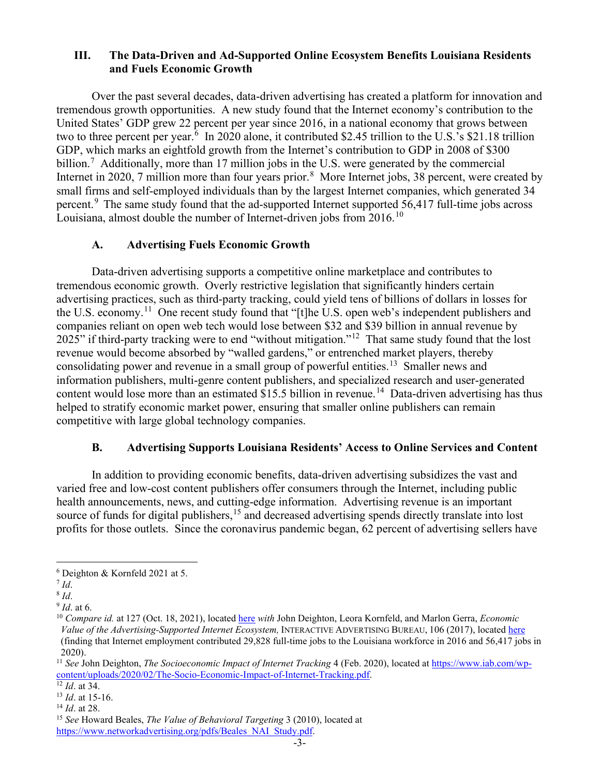#### **III. The Data-Driven and Ad-Supported Online Ecosystem Benefits Louisiana Residents and Fuels Economic Growth**

Over the past several decades, data-driven advertising has created a platform for innovation and tremendous growth opportunities. A new study found that the Internet economy's contribution to the United States' GDP grew 22 percent per year since 2016, in a national economy that grows between two to three percent per year.<sup>[6](#page-2-0)</sup> In 2020 alone, it contributed \$2.45 trillion to the U.S.'s \$21.18 trillion GDP, which marks an eightfold growth from the Internet's contribution to GDP in 2008 of \$300 billion.<sup>[7](#page-2-1)</sup> Additionally, more than 17 million jobs in the U.S. were generated by the commercial Internet in 2020, 7 million more than four years prior.<sup>[8](#page-2-2)</sup> More Internet jobs, 38 percent, were created by small firms and self-employed individuals than by the largest Internet companies, which generated 34 percent.[9](#page-2-3) The same study found that the ad-supported Internet supported 56,417 full-time jobs across Louisiana, almost double the number of Internet-driven jobs from 2016.<sup>[10](#page-2-4)</sup>

### **A. Advertising Fuels Economic Growth**

Data-driven advertising supports a competitive online marketplace and contributes to tremendous economic growth. Overly restrictive legislation that significantly hinders certain advertising practices, such as third-party tracking, could yield tens of billions of dollars in losses for the U.S. economy.<sup>[11](#page-2-5)</sup> One recent study found that "[t]he U.S. open web's independent publishers and companies reliant on open web tech would lose between \$32 and \$39 billion in annual revenue by 2025" if third-party tracking were to end "without mitigation."<sup>[12](#page-2-6)</sup> That same study found that the lost revenue would become absorbed by "walled gardens," or entrenched market players, thereby consolidating power and revenue in a small group of powerful entities.<sup>13</sup> Smaller news and information publishers, multi-genre content publishers, and specialized research and user-generated content would lose more than an estimated  $$15.5$  billion in revenue.<sup>[14](#page-2-8)</sup> Data-driven advertising has thus helped to stratify economic market power, ensuring that smaller online publishers can remain competitive with large global technology companies.

### **B. Advertising Supports Louisiana Residents' Access to Online Services and Content**

In addition to providing economic benefits, data-driven advertising subsidizes the vast and varied free and low-cost content publishers offer consumers through the Internet, including public health announcements, news, and cutting-edge information. Advertising revenue is an important source of funds for digital publishers,<sup>[15](#page-2-9)</sup> and decreased advertising spends directly translate into lost profits for those outlets. Since the coronavirus pandemic began, 62 percent of advertising sellers have

<span id="page-2-0"></span><sup>6</sup> Deighton & Kornfeld 2021 at 5.

<span id="page-2-1"></span><sup>7</sup> *Id*.

<span id="page-2-2"></span><sup>8</sup> *Id*.

<span id="page-2-3"></span><sup>9</sup> *Id*. at 6.

<span id="page-2-4"></span><sup>10</sup> *Compare id.* at 127 (Oct. 18, 2021), located [here](https://www.iab.com/wp-content/uploads/2021/10/IAB_Economic_Impact_of_the_Market-Making_Internet_Study_2021-10.pdf) *with* John Deighton, Leora Kornfeld, and Marlon Gerra, *Economic Value of the Advertising-Supported Internet Ecosystem,* INTERACTIVE ADVERTISING BUREAU, 106 (2017), located [here](https://www.iab.com/wp-content/uploads/2017/03/Economic-Value-Study-2017-FINAL2.pdf) (finding that Internet employment contributed 29,828 full-time jobs to the Louisiana workforce in 2016 and 56,417 jobs in 2020).

<span id="page-2-5"></span><sup>&</sup>lt;sup>11</sup> See John Deighton, *The Socioeconomic Impact of Internet Tracking* 4 (Feb. 2020), located a[t https://www.iab.com/wp](https://www.iab.com/wp-content/uploads/2020/02/The-Socio-Economic-Impact-of-Internet-Tracking.pdf)[content/uploads/2020/02/The-Socio-Economic-Impact-of-Internet-Tracking.pdf.](https://www.iab.com/wp-content/uploads/2020/02/The-Socio-Economic-Impact-of-Internet-Tracking.pdf)

<span id="page-2-6"></span> $\frac{12 \overline{Id}}{12 \overline{Id}}$ . at 34.

<span id="page-2-7"></span><sup>13</sup> *Id*. at 15-16.

<span id="page-2-8"></span><sup>14</sup> *Id*. at 28.

<span id="page-2-9"></span><sup>15</sup> *See* Howard Beales, *The Value of Behavioral Targeting* 3 (2010), located at [https://www.networkadvertising.org/pdfs/Beales\\_NAI\\_Study.pdf.](https://www.networkadvertising.org/pdfs/Beales_NAI_Study.pdf)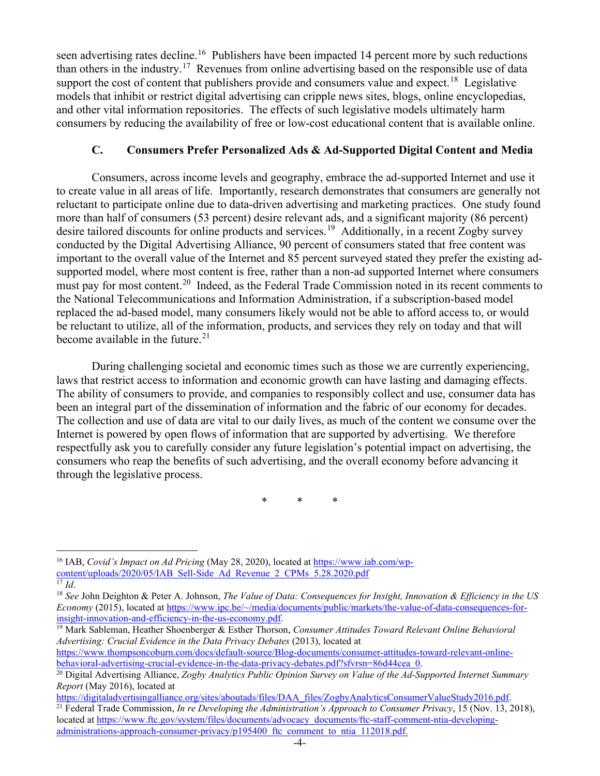seen advertising rates decline.<sup>[16](#page-3-0)</sup> Publishers have been impacted 14 percent more by such reductions than others in the industry.<sup>17</sup> Revenues from online advertising based on the responsible use of data support the cost of content that publishers provide and consumers value and expect.<sup>18</sup> Legislative models that inhibit or restrict digital advertising can cripple news sites, blogs, online encyclopedias, and other vital information repositories. The effects of such legislative models ultimately harm consumers by reducing the availability of free or low-cost educational content that is available online.

## **C. Consumers Prefer Personalized Ads & Ad-Supported Digital Content and Media**

Consumers, across income levels and geography, embrace the ad-supported Internet and use it to create value in all areas of life. Importantly, research demonstrates that consumers are generally not reluctant to participate online due to data-driven advertising and marketing practices. One study found more than half of consumers (53 percent) desire relevant ads, and a significant majority (86 percent) desire tailored discounts for online products and services.<sup>[19](#page-3-3)</sup> Additionally, in a recent Zogby survey conducted by the Digital Advertising Alliance, 90 percent of consumers stated that free content was important to the overall value of the Internet and 85 percent surveyed stated they prefer the existing adsupported model, where most content is free, rather than a non-ad supported Internet where consumers must pay for most content.<sup>20</sup> Indeed, as the Federal Trade Commission noted in its recent comments to the National Telecommunications and Information Administration, if a subscription-based model replaced the ad-based model, many consumers likely would not be able to afford access to, or would be reluctant to utilize, all of the information, products, and services they rely on today and that will become available in the future. $21$ 

During challenging societal and economic times such as those we are currently experiencing, laws that restrict access to information and economic growth can have lasting and damaging effects. The ability of consumers to provide, and companies to responsibly collect and use, consumer data has been an integral part of the dissemination of information and the fabric of our economy for decades. The collection and use of data are vital to our daily lives, as much of the content we consume over the Internet is powered by open flows of information that are supported by advertising. We therefore respectfully ask you to carefully consider any future legislation's potential impact on advertising, the consumers who reap the benefits of such advertising, and the overall economy before advancing it through the legislative process.

\* \* \*

[https://www.thompsoncoburn.com/docs/default-source/Blog-documents/consumer-attitudes-toward-relevant-online](https://www.thompsoncoburn.com/docs/default-source/Blog-documents/consumer-attitudes-toward-relevant-online-behavioral-advertising-crucial-evidence-in-the-data-privacy-debates.pdf?sfvrsn=86d44cea_0)[behavioral-advertising-crucial-evidence-in-the-data-privacy-debates.pdf?sfvrsn=86d44cea\\_0.](https://www.thompsoncoburn.com/docs/default-source/Blog-documents/consumer-attitudes-toward-relevant-online-behavioral-advertising-crucial-evidence-in-the-data-privacy-debates.pdf?sfvrsn=86d44cea_0)

<span id="page-3-0"></span><sup>16</sup> IAB, *Covid's Impact on Ad Pricing* (May 28, 2020), located at [https://www.iab.com/wp](https://www.iab.com/wp-content/uploads/2020/05/IAB_Sell-Side_Ad_Revenue_2_CPMs_5.28.2020.pdf)[content/uploads/2020/05/IAB\\_Sell-Side\\_Ad\\_Revenue\\_2\\_CPMs\\_5.28.2020.pdf](https://www.iab.com/wp-content/uploads/2020/05/IAB_Sell-Side_Ad_Revenue_2_CPMs_5.28.2020.pdf)  $\overline{^{17}Id.}$ 

<span id="page-3-2"></span><span id="page-3-1"></span><sup>18</sup> *See* John Deighton & Peter A. Johnson, *The Value of Data: Consequences for Insight, Innovation & Efficiency in the US Economy* (2015), located at [https://www.ipc.be/~/media/documents/public/markets/the-value-of-data-consequences-for](https://www.ipc.be/%7E/media/documents/public/markets/the-value-of-data-consequences-for-insight-innovation-and-efficiency-in-the-us-economy.pdf)[insight-innovation-and-efficiency-in-the-us-economy.pdf.](https://www.ipc.be/%7E/media/documents/public/markets/the-value-of-data-consequences-for-insight-innovation-and-efficiency-in-the-us-economy.pdf) 19 Mark Sableman, Heather Shoenberger & Esther Thorson, *Consumer Attitudes Toward Relevant Online Behavioral* 

<span id="page-3-3"></span>*Advertising: Crucial Evidence in the Data Privacy Debates* (2013), located at

<span id="page-3-4"></span><sup>&</sup>lt;sup>20</sup> Digital Advertising Alliance, *Zogby Analytics Public Opinion Survey on Value of the Ad-Supported Internet Summary Report* (May 2016), located at

<span id="page-3-5"></span>[https://digitaladvertisingalliance.org/sites/aboutads/files/DAA\\_files/ZogbyAnalyticsConsumerValueStudy2016.pdf.](https://digitaladvertisingalliance.org/sites/aboutads/files/DAA_files/ZogbyAnalyticsConsumerValueStudy2016.pdf) <sup>21</sup> Federal Trade Commission, *In re Developing the Administration's Approach to Consumer Privacy*, 15 (Nov. 13, 2018), located a[t https://www.ftc.gov/system/files/documents/advocacy\\_documents/ftc-staff-comment-ntia-developing](https://www.ftc.gov/system/files/documents/advocacy_documents/ftc-staff-comment-ntia-developing-administrations-approach-consumer-privacy/p195400_ftc_comment_to_ntia_112018.pdf)administrations-approach-consumer-privacy/p195400 ftc\_comment\_to\_ntia\_112018.pdf.